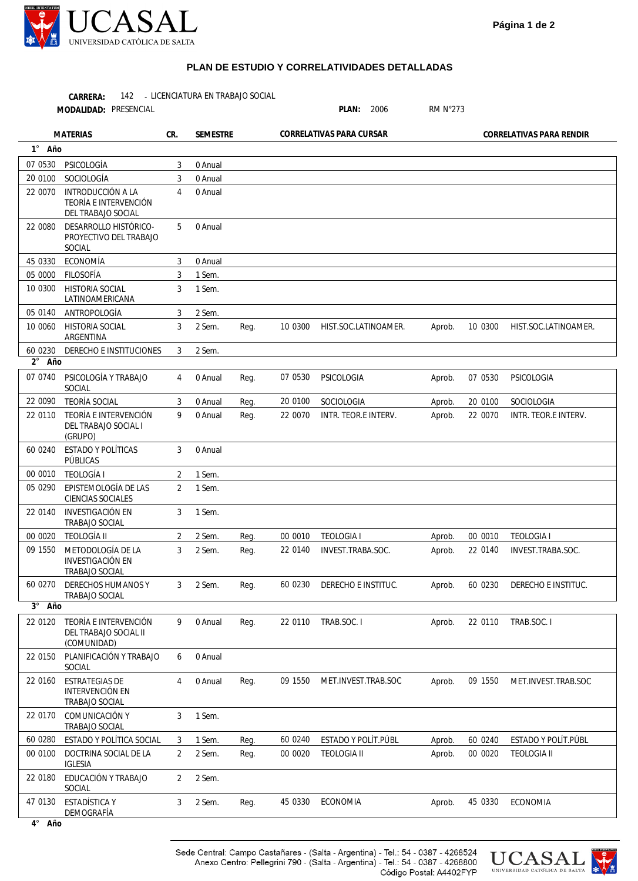

## **PLAN DE ESTUDIO Y CORRELATIVIDADES DETALLADAS**

142 - LICENCIATURA EN TRABAJO SOCIAL **CARRERA:** MODALIDAD: PRESENCIAL

| MODALIDAD: PRESENCIAL         |                                                                         |                |          |      |          | PLAN:<br>2006            |        | <b>RM N°273</b> |                             |  |
|-------------------------------|-------------------------------------------------------------------------|----------------|----------|------|----------|--------------------------|--------|-----------------|-----------------------------|--|
|                               | <b>MATERIAS</b>                                                         | CR.            | SEMESTRE |      |          | CORRELATIVAS PARA CURSAR |        |                 | CORRELATIVAS PARA RENDIR    |  |
| $1^{\circ}$<br>Año            |                                                                         |                |          |      |          |                          |        |                 |                             |  |
| 07 0530                       | PSICOLOGÍA                                                              | 3              | 0 Anual  |      |          |                          |        |                 |                             |  |
| 20 0100                       | SOCIOLOGÍA                                                              | 3              | 0 Anual  |      |          |                          |        |                 |                             |  |
| 22 0070                       | <b>INTRODUCCIÓN A LA</b><br>TEORÍA E INTERVENCIÓN<br>DEL TRABAJO SOCIAL | 4              | 0 Anual  |      |          |                          |        |                 |                             |  |
| 22 0080                       | DESARROLLO HISTÓRICO-<br>PROYECTIVO DEL TRABAJO<br>SOCIAL               | 5              | 0 Anual  |      |          |                          |        |                 |                             |  |
| 45 0330                       | ECONOMÍA                                                                | 3              | 0 Anual  |      |          |                          |        |                 |                             |  |
| 05 0000                       | FILOSOFÍA                                                               | 3              | 1 Sem.   |      |          |                          |        |                 |                             |  |
| 10 0300                       | <b>HISTORIA SOCIAL</b><br>LATINOAMERICANA                               | 3              | 1 Sem.   |      |          |                          |        |                 |                             |  |
| 05 0140                       | ANTROPOLOGÍA                                                            | 3              | 2 Sem.   |      |          |                          |        |                 |                             |  |
| 10 0060                       | <b>HISTORIA SOCIAL</b><br>ARGENTINA                                     | 3              | 2 Sem.   | Reg. | 10 0300  | HIST.SOC.LATINOAMER.     | Aprob. | 10 0300         | HIST.SOC.LATINOAMER.        |  |
| 60 0230<br>$2^{\circ}$<br>Año | DERECHO E INSTITUCIONES                                                 | 3              | 2 Sem.   |      |          |                          |        |                 |                             |  |
| 07 0740                       | PSICOLOGÍA Y TRABAJO<br><b>SOCIAL</b>                                   | 4              | 0 Anual  | Reg. | 07 0530  | PSICOLOGIA               | Aprob. | 07 0530         | PSICOLOGIA                  |  |
| 22 0090                       | <b>TEORÍA SOCIAL</b>                                                    | 3              | 0 Anual  | Reg. | 20 0100  | SOCIOLOGIA               | Aprob. | 20 0100         | <b>SOCIOLOGIA</b>           |  |
| 22 0110                       | TEORÍA E INTERVENCIÓN<br>DEL TRABAJO SOCIAL I<br>(GRUPO)                | 9              | 0 Anual  | Req. | 22 0070  | INTR. TEOR.E INTERV.     | Aprob. | 22 0070         | INTR. TEOR.E INTERV.        |  |
| 60 0240                       | ESTADO Y POLÍTICAS<br>PÚBLICAS                                          | 3              | 0 Anual  |      |          |                          |        |                 |                             |  |
| 00 0010                       | <b>TEOLOGÍA I</b>                                                       | 2              | 1 Sem.   |      |          |                          |        |                 |                             |  |
| 05 0290                       | EPISTEMOLOGÍA DE LAS<br>CIENCIAS SOCIALES                               | $\overline{2}$ | 1 Sem.   |      |          |                          |        |                 |                             |  |
| 22 0140                       | INVESTIGACIÓN EN<br>TRABAJO SOCIAL                                      | 3              | 1 Sem.   |      |          |                          |        |                 |                             |  |
| 00 0020                       | TEOLOGÍA II                                                             | 2              | 2 Sem.   | Req. | 00 0010  | <b>TEOLOGIA I</b>        | Aprob. | 00 0010         | <b>TEOLOGIA I</b>           |  |
| 09 1550                       | METODOLOGÍA DE LA<br><b>INVESTIGACIÓN EN</b><br><b>TRABAJO SOCIAL</b>   | 3              | 2 Sem.   | Req. | 22 0140  | INVEST.TRABA.SOC.        | Aprob. | 22 0140         | INVEST.TRABA.SOC.           |  |
|                               | 60 0270 DERECHOS HUMANOS Y<br>TRABAJO SOCIAL                            | $\mathbf{3}$   | 2 Sem.   | Reg. | 60 0230  | DERECHO E INSTITUC.      | Aprob. |                 | 60 0230 DERECHO E INSTITUC. |  |
| 3° Año                        |                                                                         |                |          |      |          |                          |        |                 |                             |  |
| 22 0120                       | TEORÍA E INTERVENCIÓN<br>DEL TRABAJO SOCIAL II<br>(COMUNIDAD)           | 9              | 0 Anual  | Reg. | 22 0110  | TRAB.SOC.I               | Aprob. | 22 0110         | TRAB.SOC.I                  |  |
| 22 0150                       | PLANIFICACIÓN Y TRABAJO<br>SOCIAL                                       | 6              | 0 Anual  |      |          |                          |        |                 |                             |  |
| 22 0160                       | <b>ESTRATEGIAS DE</b><br>INTERVENCIÓN EN<br>TRABAJO SOCIAL              | $\overline{4}$ | 0 Anual  | Reg. | 09 1550  | MET.INVEST.TRAB.SOC      | Aprob. | 09 1550         | MET.INVEST.TRAB.SOC         |  |
| 22 0170                       | COMUNICACIÓN Y<br><b>TRABAJO SOCIAL</b>                                 | 3              | 1 Sem.   |      |          |                          |        |                 |                             |  |
| 60 0280                       | ESTADO Y POLÍTICA SOCIAL                                                | 3              | 1 Sem.   | Reg. | 60 0240  | ESTADO Y POLÍT.PÚBL      | Aprob. | 60 0240         | ESTADO Y POLÍT.PÚBL         |  |
| 00 0100                       | DOCTRINA SOCIAL DE LA<br>IGLESIA                                        | 2              | 2 Sem.   | Reg. | 00 00 20 | <b>TEOLOGIA II</b>       | Aprob. | 00 0020         | <b>TEOLOGIA II</b>          |  |
| 22 0180                       | EDUCACIÓN Y TRABAJO<br>SOCIAL                                           | 2              | 2 Sem.   |      |          |                          |        |                 |                             |  |
| 47 0130                       | ESTADÍSTICA Y<br>DEMOGRAFÍA                                             | 3              | 2 Sem.   | Reg. | 45 0330  | ECONOMIA                 | Aprob. | 45 0330         | ECONOMIA                    |  |

**4 Año** °